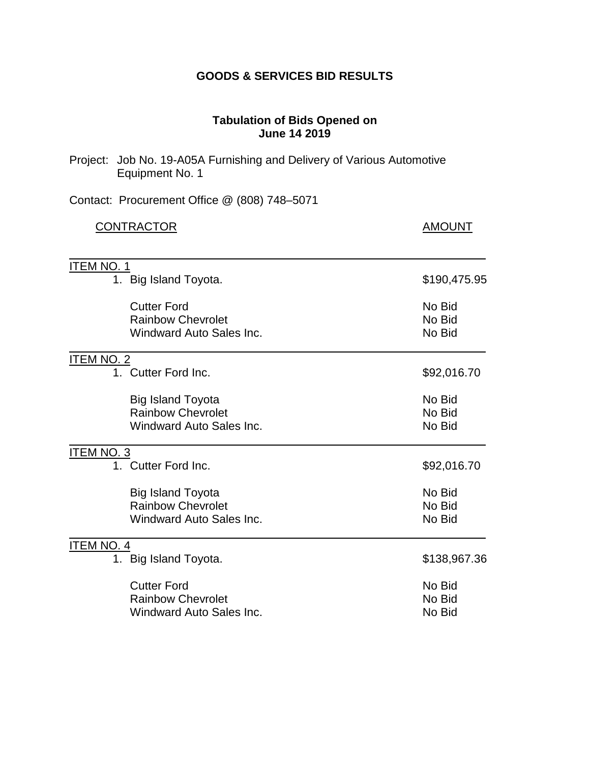## **GOODS & SERVICES BID RESULTS**

## **Tabulation of Bids Opened on June 14 2019**

| Project: Job No. 19-A05A Furnishing and Delivery of Various Automotive<br>Equipment No. 1 |                            |
|-------------------------------------------------------------------------------------------|----------------------------|
| Contact: Procurement Office @ (808) 748-5071                                              |                            |
| <b>CONTRACTOR</b>                                                                         | <b>AMOUNT</b>              |
| <u>ITEM NO. 1</u><br>1. Big Island Toyota.                                                | \$190,475.95               |
|                                                                                           |                            |
| <b>Cutter Ford</b><br><b>Rainbow Chevrolet</b><br><b>Windward Auto Sales Inc.</b>         | No Bid<br>No Bid<br>No Bid |
| <b>ITEM NO. 2</b>                                                                         |                            |
| 1. Cutter Ford Inc.                                                                       | \$92,016.70                |
| <b>Big Island Toyota</b><br><b>Rainbow Chevrolet</b><br>Windward Auto Sales Inc.          | No Bid<br>No Bid<br>No Bid |
| <b>ITEM NO. 3</b>                                                                         |                            |
| 1. Cutter Ford Inc.                                                                       | \$92,016.70                |
| <b>Big Island Toyota</b><br><b>Rainbow Chevrolet</b><br><b>Windward Auto Sales Inc.</b>   | No Bid<br>No Bid<br>No Bid |
| <b>ITEM NO. 4</b>                                                                         |                            |
| 1. Big Island Toyota.                                                                     | \$138,967.36               |
| <b>Cutter Ford</b><br><b>Rainbow Chevrolet</b><br><b>Windward Auto Sales Inc.</b>         | No Bid<br>No Bid<br>No Bid |